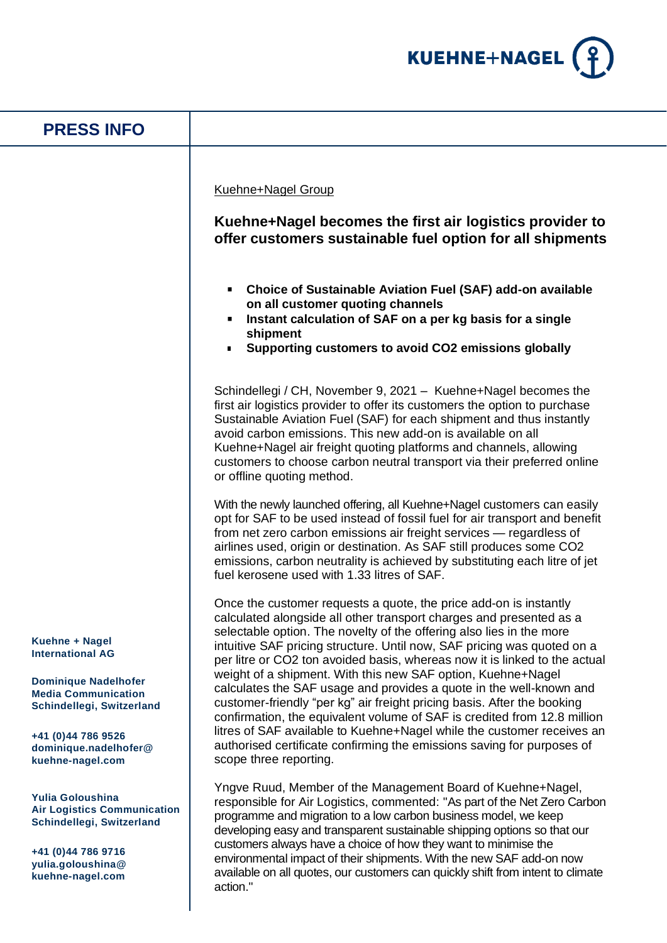

| <b>PRESS INFO</b>                                                                                                                                                                  |                                                                                                                                                                                                                                                                                                                                                                                                                                                                                                                                                                                                                                                                                                                                                                                                                             |
|------------------------------------------------------------------------------------------------------------------------------------------------------------------------------------|-----------------------------------------------------------------------------------------------------------------------------------------------------------------------------------------------------------------------------------------------------------------------------------------------------------------------------------------------------------------------------------------------------------------------------------------------------------------------------------------------------------------------------------------------------------------------------------------------------------------------------------------------------------------------------------------------------------------------------------------------------------------------------------------------------------------------------|
|                                                                                                                                                                                    | <b>Kuehne+Nagel Group</b><br>Kuehne+Nagel becomes the first air logistics provider to<br>offer customers sustainable fuel option for all shipments                                                                                                                                                                                                                                                                                                                                                                                                                                                                                                                                                                                                                                                                          |
|                                                                                                                                                                                    | • Choice of Sustainable Aviation Fuel (SAF) add-on available<br>on all customer quoting channels<br>Instant calculation of SAF on a per kg basis for a single<br>shipment<br>Supporting customers to avoid CO2 emissions globally                                                                                                                                                                                                                                                                                                                                                                                                                                                                                                                                                                                           |
|                                                                                                                                                                                    | Schindellegi / CH, November 9, 2021 - Kuehne+Nagel becomes the<br>first air logistics provider to offer its customers the option to purchase<br>Sustainable Aviation Fuel (SAF) for each shipment and thus instantly<br>avoid carbon emissions. This new add-on is available on all<br>Kuehne+Nagel air freight quoting platforms and channels, allowing<br>customers to choose carbon neutral transport via their preferred online<br>or offline quoting method.                                                                                                                                                                                                                                                                                                                                                           |
|                                                                                                                                                                                    | With the newly launched offering, all Kuehne+Nagel customers can easily<br>opt for SAF to be used instead of fossil fuel for air transport and benefit<br>from net zero carbon emissions air freight services - regardless of<br>airlines used, origin or destination. As SAF still produces some CO2<br>emissions, carbon neutrality is achieved by substituting each litre of jet<br>fuel kerosene used with 1.33 litres of SAF.                                                                                                                                                                                                                                                                                                                                                                                          |
| Kuehne + Nagel<br><b>International AG</b><br><b>Dominique Nadelhofer</b><br><b>Media Communication</b><br>Schindellegi, Switzerland<br>+41 (0)44 786 9526<br>dominique.nadelhofer@ | Once the customer requests a quote, the price add-on is instantly<br>calculated alongside all other transport charges and presented as a<br>selectable option. The novelty of the offering also lies in the more<br>intuitive SAF pricing structure. Until now, SAF pricing was quoted on a<br>per litre or CO2 ton avoided basis, whereas now it is linked to the actual<br>weight of a shipment. With this new SAF option, Kuehne+Nagel<br>calculates the SAF usage and provides a quote in the well-known and<br>customer-friendly "per kg" air freight pricing basis. After the booking<br>confirmation, the equivalent volume of SAF is credited from 12.8 million<br>litres of SAF available to Kuehne+Nagel while the customer receives an<br>authorised certificate confirming the emissions saving for purposes of |
| kuehne-nagel.com<br>Yulia Goloushina<br><b>Air Logistics Communication</b><br>Schindellegi, Switzerland<br>+41 (0)44 786 9716<br>yulia.goloushina@<br>kuehne-nagel.com             | scope three reporting.<br>Yngve Ruud, Member of the Management Board of Kuehne+Nagel,<br>responsible for Air Logistics, commented: "As part of the Net Zero Carbon<br>programme and migration to a low carbon business model, we keep<br>developing easy and transparent sustainable shipping options so that our<br>customers always have a choice of how they want to minimise the<br>environmental impact of their shipments. With the new SAF add-on now<br>available on all quotes, our customers can quickly shift from intent to climate<br>action."                                                                                                                                                                                                                                                                 |